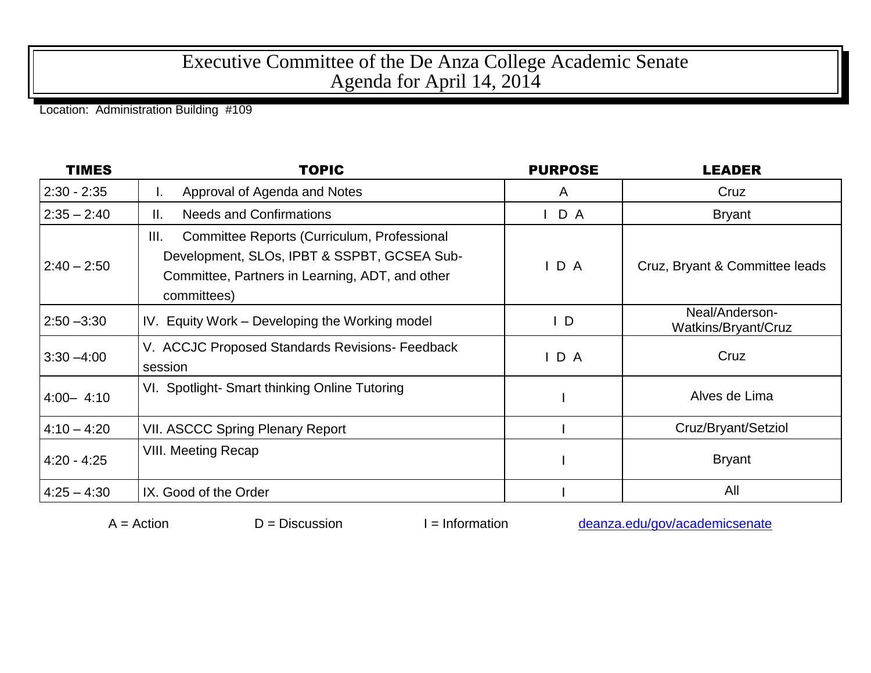## Executive Committee of the De Anza College Academic Senate Agenda for April 14, 2014

Location: Administration Building #109

| <b>TIMES</b>  | <b>TOPIC</b>                                                                                                                                                       | <b>PURPOSE</b> | <b>LEADER</b>                         |
|---------------|--------------------------------------------------------------------------------------------------------------------------------------------------------------------|----------------|---------------------------------------|
| $2:30 - 2:35$ | Approval of Agenda and Notes<br>ı.                                                                                                                                 | A              | Cruz                                  |
| $2:35 - 2:40$ | <b>Needs and Confirmations</b><br>Ⅱ.                                                                                                                               | D A            | <b>Bryant</b>                         |
| $2:40 - 2:50$ | Ш.<br>Committee Reports (Curriculum, Professional<br>Development, SLOs, IPBT & SSPBT, GCSEA Sub-<br>Committee, Partners in Learning, ADT, and other<br>committees) | D A            | Cruz, Bryant & Committee leads        |
| $2:50 - 3:30$ | IV. Equity Work – Developing the Working model                                                                                                                     | $\mathsf{I}$   | Neal/Anderson-<br>Watkins/Bryant/Cruz |
| $3:30 - 4:00$ | V. ACCJC Proposed Standards Revisions- Feedback<br>session                                                                                                         | IDA            | Cruz                                  |
| $4:00 - 4:10$ | VI. Spotlight-Smart thinking Online Tutoring                                                                                                                       |                | Alves de Lima                         |
| $4:10 - 4:20$ | <b>VII. ASCCC Spring Plenary Report</b>                                                                                                                            |                | Cruz/Bryant/Setziol                   |
| $4:20 - 4:25$ | VIII. Meeting Recap                                                                                                                                                |                | <b>Bryant</b>                         |
| $4:25 - 4:30$ | IX. Good of the Order                                                                                                                                              |                | All                                   |

 $A =$ Action  $D =$  Discussion I = Information [deanza.edu/gov/academicsenate](http://www.deanza.edu/gov/academicsenate)